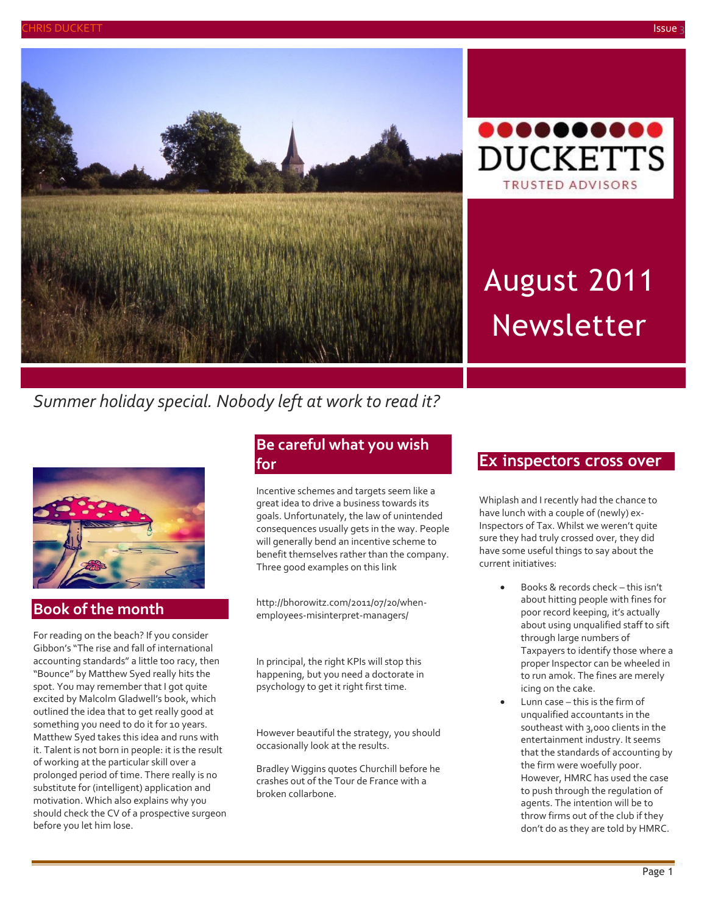



# August 2011 Newsletter

## *Summer holiday special. Nobody left at work to read it?*



## **Book of the month**

For reading on the beach? If you consider Gibbon's "The rise and fall of international accounting standards" a little too racy, then "Bounce" by Matthew Syed really hits the spot. You may remember that I got quite excited by Malcolm Gladwell's book, which outlined the idea that to get really good at something you need to do it for 10 years. Matthew Syed takes this idea and runs with it. Talent is not born in people: it is the result of working at the particular skill over a prolonged period of time. There really is no substitute for (intelligent) application and motivation. Which also explains why you should check the CV of a prospective surgeon before you let him lose.

## **Be careful what you wish for**

Incentive schemes and targets seem like a great idea to drive a business towards its goals. Unfortunately, the law of unintended consequences usually gets in the way. People will generally bend an incentive scheme to benefit themselves rather than the company. Three good examples on this link

http://bhorowitz.com/2011/07/20/whenemployees-misinterpret-managers/

In principal, the right KPIs will stop this happening, but you need a doctorate in psychology to get it right first time.

However beautiful the strategy, you should occasionally look at the results.

Bradley Wiggins quotes Churchill before he crashes out of the Tour de France with a broken collarbone.

## **Ex inspectors cross over**

Whiplash and I recently had the chance to have lunch with a couple of (newly) ex-Inspectors of Tax. Whilst we weren't quite sure they had truly crossed over, they did have some useful things to say about the current initiatives:

- Books & records check this isn't about hitting people with fines for poor record keeping, it's actually about using unqualified staff to sift through large numbers of Taxpayers to identify those where a proper Inspector can be wheeled in to run amok. The fines are merely icing on the cake.
- Lunn case this is the firm of unqualified accountants in the southeast with 3,000 clients in the entertainment industry. It seems that the standards of accounting by the firm were woefully poor. However, HMRC has used the case to push through the regulation of agents. The intention will be to throw firms out of the club if they don't do as they are told by HMRC.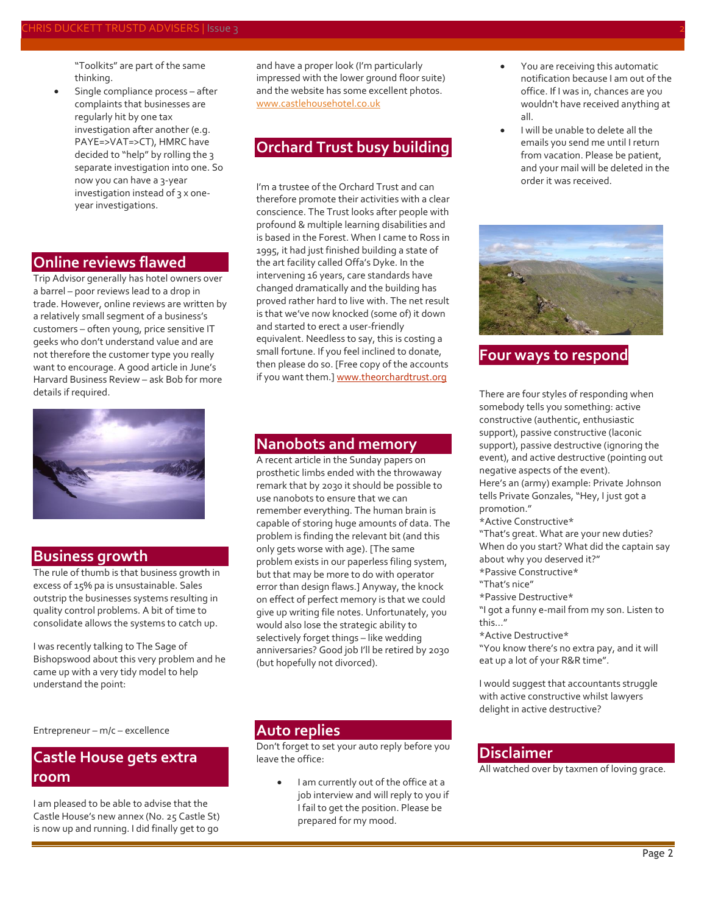"Toolkits" are part of the same thinking.

 Single compliance process – after complaints that businesses are regularly hit by one tax investigation after another (e.g. PAYE=>VAT=>CT), HMRC have decided to "help" by rolling the 3 separate investigation into one. So now you can have a 3-year investigation instead of 3 x oneyear investigations.

### **Online reviews flawed**

Trip Advisor generally has hotel owners over a barrel – poor reviews lead to a drop in trade. However, online reviews are written by a relatively small segment of a business's customers – often young, price sensitive IT geeks who don't understand value and are not therefore the customer type you really want to encourage. A good article in June's Harvard Business Review – ask Bob for more details if required.



#### **Business growth**

The rule of thumb is that business growth in excess of 15% pa is unsustainable. Sales outstrip the businesses systems resulting in quality control problems. A bit of time to consolidate allows the systems to catch up.

I was recently talking to The Sage of Bishopswood about this very problem and he came up with a very tidy model to help understand the point:

and have a proper look (I'm particularly impressed with the lower ground floor suite) and the website has some excellent photos. [www.castlehousehotel.co.uk](http://www.castlehousehotel.co.uk/)

## **Orchard Trust busy building**

I'm a trustee of the Orchard Trust and can therefore promote their activities with a clear conscience. The Trust looks after people with profound & multiple learning disabilities and is based in the Forest. When I came to Ross in 1995, it had just finished building a state of the art facility called Offa's Dyke. In the intervening 16 years, care standards have changed dramatically and the building has proved rather hard to live with. The net result is that we've now knocked (some of) it down and started to erect a user-friendly equivalent. Needless to say, this is costing a small fortune. If you feel inclined to donate, then please do so. [Free copy of the accounts if you want them.[\] www.theorchardtrust.org](http://www.theorchardtrust.org/)

### **Nanobots and memory**

A recent article in the Sunday papers on prosthetic limbs ended with the throwaway remark that by 2030 it should be possible to use nanobots to ensure that we can remember everything. The human brain is capable of storing huge amounts of data. The problem is finding the relevant bit (and this only gets worse with age). [The same problem exists in our paperless filing system, but that may be more to do with operator error than design flaws.] Anyway, the knock on effect of perfect memory is that we could give up writing file notes. Unfortunately, you would also lose the strategic ability to selectively forget things – like wedding anniversaries? Good job I'll be retired by 2030 (but hopefully not divorced).

Entrepreneur – m/c – excellence

## **Castle House gets extra room**

I am pleased to be able to advise that the Castle House's new annex (No. 25 Castle St) is now up and running. I did finally get to go

#### **Auto replies**

Don't forget to set your auto reply before you leave the office:

> I am currently out of the office at a job interview and will reply to you if I fail to get the position. Please be prepared for my mood.

- You are receiving this automatic notification because I am out of the office. If I was in, chances are you wouldn't have received anything at all.
- I will be unable to delete all the emails you send me until I return from vacation. Please be patient, and your mail will be deleted in the order it was received.



## **Four ways to respond**

There are four styles of responding when somebody tells you something: active constructive (authentic, enthusiastic support), passive constructive (laconic support), passive destructive (ignoring the event), and active destructive (pointing out negative aspects of the event). Here's an (army) example: Private Johnson tells Private Gonzales, "Hey, I just got a promotion."

\*Active Constructive\*

"That's great. What are your new duties? When do you start? What did the captain say about why you deserved it?"

- \*Passive Constructive\*
- "That's nice"
- \*Passive Destructive\*

"I got a funny e-mail from my son. Listen to this..."

\*Active Destructive\*

"You know there's no extra pay, and it will eat up a lot of your R&R time".

I would suggest that accountants struggle with active constructive whilst lawyers delight in active destructive?

#### **Disclaimer**

All watched over by taxmen of loving grace.